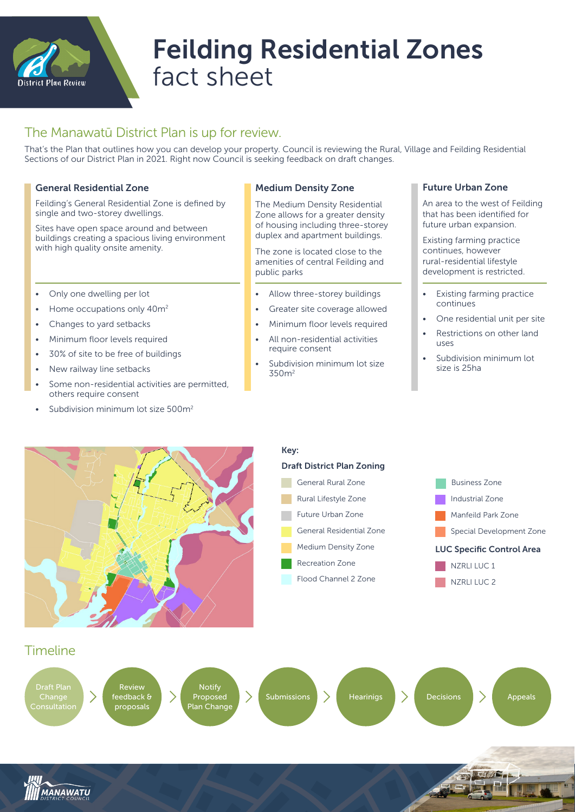

# Feilding Residential Zones fact sheet

## The Manawatū District Plan is up for review.

That's the Plan that outlines how you can develop your property. Council is reviewing the Rural, Village and Feilding Residential Sections of our District Plan in 2021. Right now Council is seeking feedback on draft changes.

#### General Residential Zone

Feilding's General Residential Zone is defined by single and two-storey dwellings.

Sites have open space around and between buildings creating a spacious living environment with high quality onsite amenity.

- Only one dwelling per lot
- Home occupations only 40m<sup>2</sup>
- Changes to yard setbacks
- Minimum floor levels required
- 30% of site to be free of buildings
- New railway line setbacks
- Some non-residential activities are permitted, others require consent
- Subdivision minimum lot size 500m<sup>2</sup>

#### Medium Density Zone

The Medium Density Residential Zone allows for a greater density of housing including three-storey duplex and apartment buildings.

The zone is located close to the amenities of central Feilding and public parks

- Allow three-storey buildings
- Greater site coverage allowed
- Minimum floor levels required
- All non-residential activities require consent
- Subdivision minimum lot size 350m2

#### Future Urban Zone

An area to the west of Feilding that has been identified for future urban expansion.

Existing farming practice continues, however rural-residential lifestyle development is restricted.

- Existing farming practice continues
- One residential unit per site
- Restrictions on other land uses
- Subdivision minimum lot size is 25ha